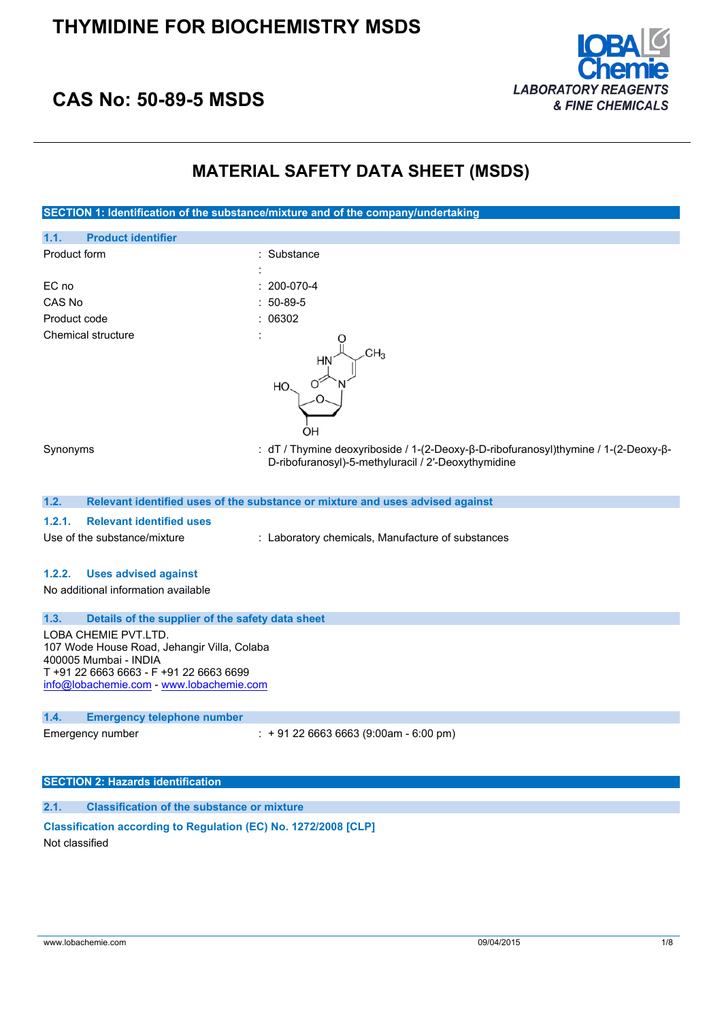

## **CAS No: 50-89-5 MSDS**

### **MATERIAL SAFETY DATA SHEET (MSDS)**



#### **SECTION 2: Hazards identification**

#### **2.1. Classification of the substance or mixture**

#### **Classification according to Regulation (EC) No. 1272/2008 [CLP]** Not classified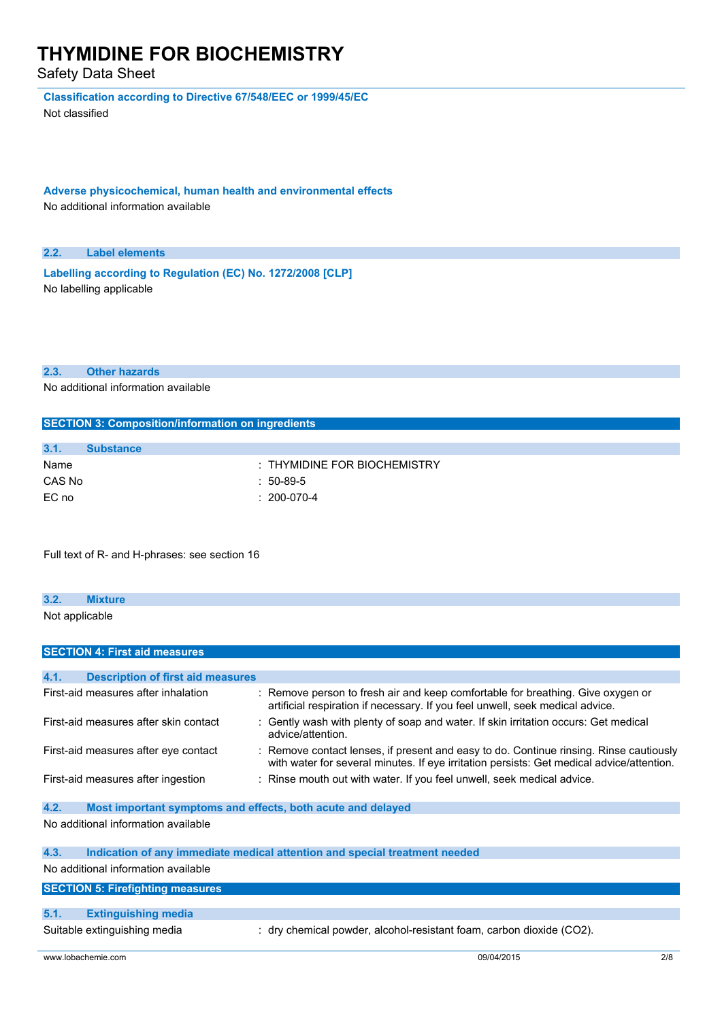Safety Data Sheet

**Classification according to Directive 67/548/EEC or 1999/45/EC**

Not classified

**Adverse physicochemical, human health and environmental effects** No additional information available

#### **2.2. Label elements**

**Labelling according to** Regulation (EC) No. 1272/2008 [CLP] No labelling applicable

#### **2.3. Other hazards**

No additional information available

| <b>SECTION 3: Composition/information on ingredients</b> |                                  |  |
|----------------------------------------------------------|----------------------------------|--|
|                                                          |                                  |  |
| 3.1.                                                     | <b>Substance</b>                 |  |
| Name                                                     | $\pm$ THYMIDINE FOR BIOCHEMISTRY |  |
| CAS No                                                   | 50-89-5                          |  |

Full text of R- and H-phrases: see section 16

EC no : 200-070-4

### **3.2. Mixture**

Not applicable

|      | <b>SECTION 4: First aid measures</b>                        |                                                                                                                                                                                     |
|------|-------------------------------------------------------------|-------------------------------------------------------------------------------------------------------------------------------------------------------------------------------------|
|      |                                                             |                                                                                                                                                                                     |
| 4.1. | <b>Description of first aid measures</b>                    |                                                                                                                                                                                     |
|      | First-aid measures after inhalation                         | : Remove person to fresh air and keep comfortable for breathing. Give oxygen or<br>artificial respiration if necessary. If you feel unwell, seek medical advice.                    |
|      | First-aid measures after skin contact                       | : Gently wash with plenty of soap and water. If skin irritation occurs: Get medical<br>advice/attention.                                                                            |
|      | First-aid measures after eye contact                        | : Remove contact lenses, if present and easy to do. Continue rinsing. Rinse cautiously<br>with water for several minutes. If eye irritation persists: Get medical advice/attention. |
|      | First-aid measures after ingestion                          | : Rinse mouth out with water. If you feel unwell, seek medical advice.                                                                                                              |
| 4.2. | Most important symptoms and effects, both acute and delayed |                                                                                                                                                                                     |
|      | No additional information available                         |                                                                                                                                                                                     |
| 4.3. |                                                             | Indication of any immediate medical attention and special treatment needed                                                                                                          |
|      | No additional information available                         |                                                                                                                                                                                     |
|      | <b>SECTION 5: Firefighting measures</b>                     |                                                                                                                                                                                     |
|      |                                                             |                                                                                                                                                                                     |
| 5.1. | <b>Extinguishing media</b>                                  |                                                                                                                                                                                     |
|      | Suitable extinguishing media                                | : dry chemical powder, alcohol-resistant foam, carbon dioxide (CO2).                                                                                                                |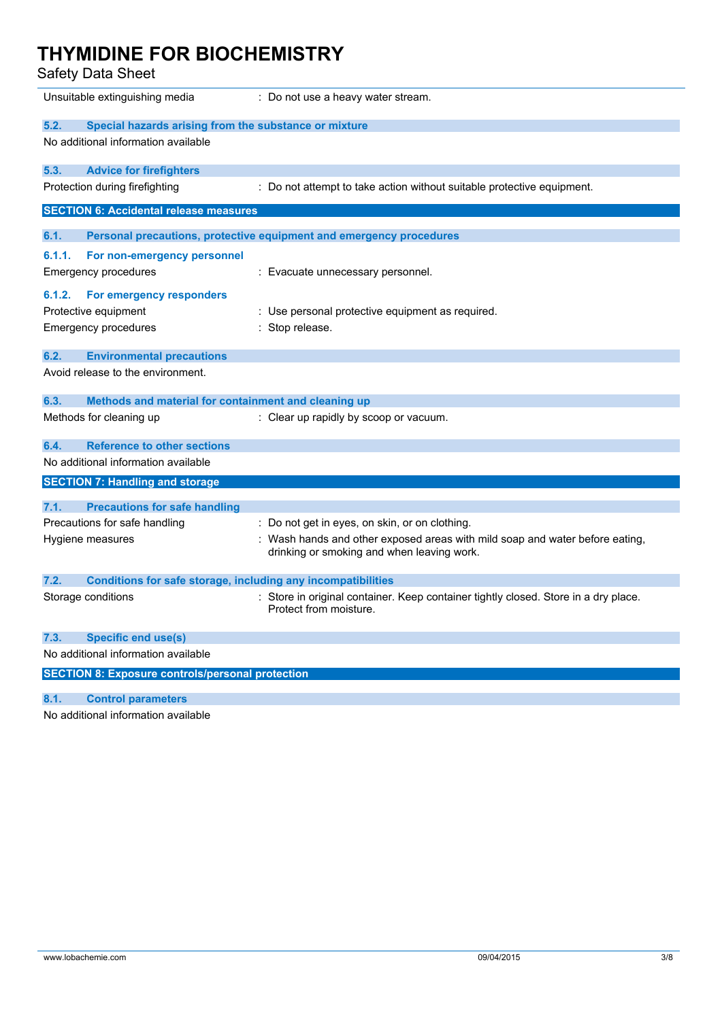Safety Data Sheet

|                                                         | Unsuitable extinguishing media                               | : Do not use a heavy water stream.                                                                                         |  |
|---------------------------------------------------------|--------------------------------------------------------------|----------------------------------------------------------------------------------------------------------------------------|--|
| 5.2.                                                    | Special hazards arising from the substance or mixture        |                                                                                                                            |  |
|                                                         | No additional information available                          |                                                                                                                            |  |
| 5.3.                                                    | <b>Advice for firefighters</b>                               |                                                                                                                            |  |
|                                                         | Protection during firefighting                               | : Do not attempt to take action without suitable protective equipment.                                                     |  |
|                                                         | <b>SECTION 6: Accidental release measures</b>                |                                                                                                                            |  |
| 6.1.                                                    |                                                              | Personal precautions, protective equipment and emergency procedures                                                        |  |
| 6.1.1.                                                  | For non-emergency personnel                                  |                                                                                                                            |  |
|                                                         | Emergency procedures                                         | : Evacuate unnecessary personnel.                                                                                          |  |
| 6.1.2.                                                  | For emergency responders                                     |                                                                                                                            |  |
|                                                         | Protective equipment                                         | : Use personal protective equipment as required.                                                                           |  |
|                                                         | Emergency procedures                                         | Stop release.                                                                                                              |  |
| 6.2.                                                    | <b>Environmental precautions</b>                             |                                                                                                                            |  |
|                                                         | Avoid release to the environment.                            |                                                                                                                            |  |
| 6.3.                                                    | Methods and material for containment and cleaning up         |                                                                                                                            |  |
|                                                         | Methods for cleaning up                                      | : Clear up rapidly by scoop or vacuum.                                                                                     |  |
| 6.4.                                                    | <b>Reference to other sections</b>                           |                                                                                                                            |  |
|                                                         | No additional information available                          |                                                                                                                            |  |
|                                                         | <b>SECTION 7: Handling and storage</b>                       |                                                                                                                            |  |
| 7.1.                                                    | <b>Precautions for safe handling</b>                         |                                                                                                                            |  |
|                                                         | Precautions for safe handling                                | : Do not get in eyes, on skin, or on clothing.                                                                             |  |
|                                                         | Hygiene measures                                             | : Wash hands and other exposed areas with mild soap and water before eating,<br>drinking or smoking and when leaving work. |  |
| 7.2.                                                    | Conditions for safe storage, including any incompatibilities |                                                                                                                            |  |
|                                                         | Storage conditions                                           | : Store in original container. Keep container tightly closed. Store in a dry place.<br>Protect from moisture.              |  |
| 7.3.                                                    | <b>Specific end use(s)</b>                                   |                                                                                                                            |  |
| No additional information available                     |                                                              |                                                                                                                            |  |
| <b>SECTION 8: Exposure controls/personal protection</b> |                                                              |                                                                                                                            |  |
| 8.1.                                                    | <b>Control parameters</b>                                    |                                                                                                                            |  |

No additional information available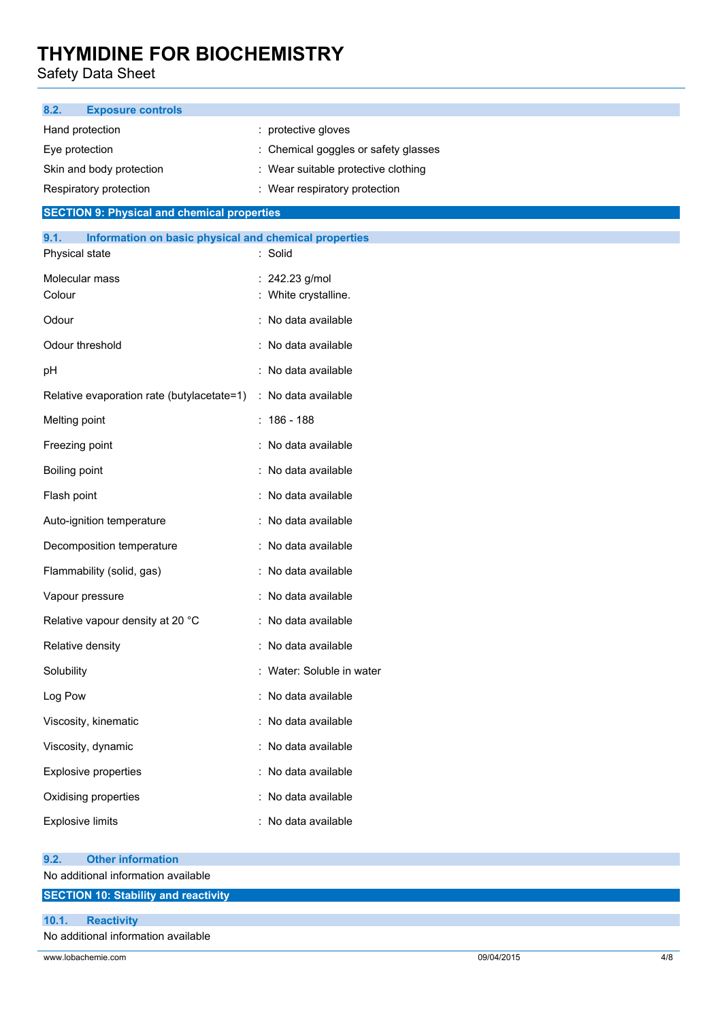Safety Data Sheet

| 8.2.<br><b>Exposure controls</b>                                        |                                      |     |
|-------------------------------------------------------------------------|--------------------------------------|-----|
| Hand protection                                                         | : protective gloves                  |     |
| Eye protection                                                          | : Chemical goggles or safety glasses |     |
| Skin and body protection                                                | Wear suitable protective clothing    |     |
| Respiratory protection                                                  | : Wear respiratory protection        |     |
| <b>SECTION 9: Physical and chemical properties</b>                      |                                      |     |
| Information on basic physical and chemical properties<br>9.1.           |                                      |     |
| Physical state                                                          | : Solid                              |     |
| Molecular mass                                                          | : 242.23 g/mol                       |     |
| Colour                                                                  | : White crystalline.                 |     |
| Odour                                                                   | : No data available                  |     |
| Odour threshold                                                         | : No data available                  |     |
| pH                                                                      | : No data available                  |     |
| Relative evaporation rate (butylacetate=1)                              | : No data available                  |     |
| Melting point                                                           | $: 186 - 188$                        |     |
| Freezing point                                                          | : No data available                  |     |
| Boiling point                                                           | : No data available                  |     |
| Flash point                                                             | : No data available                  |     |
| Auto-ignition temperature                                               | : No data available                  |     |
| Decomposition temperature                                               | : No data available                  |     |
| Flammability (solid, gas)                                               | : No data available                  |     |
| Vapour pressure                                                         | : No data available                  |     |
| Relative vapour density at 20 °C                                        | : No data available                  |     |
| Relative density                                                        | : No data available                  |     |
| Solubility                                                              | : Water: Soluble in water            |     |
| Log Pow                                                                 | : No data available                  |     |
| Viscosity, kinematic                                                    | : No data available                  |     |
| Viscosity, dynamic                                                      | : No data available                  |     |
| <b>Explosive properties</b>                                             | : No data available                  |     |
| Oxidising properties                                                    | : No data available                  |     |
| <b>Explosive limits</b>                                                 | : No data available                  |     |
|                                                                         |                                      |     |
| <b>Other information</b><br>9.2.<br>No additional information available |                                      |     |
| <b>SECTION 10: Stability and reactivity</b>                             |                                      |     |
|                                                                         |                                      |     |
| 10.1.<br><b>Reactivity</b><br>No additional information available       |                                      |     |
| www.lobachemie.com                                                      | 09/04/2015                           | 4/8 |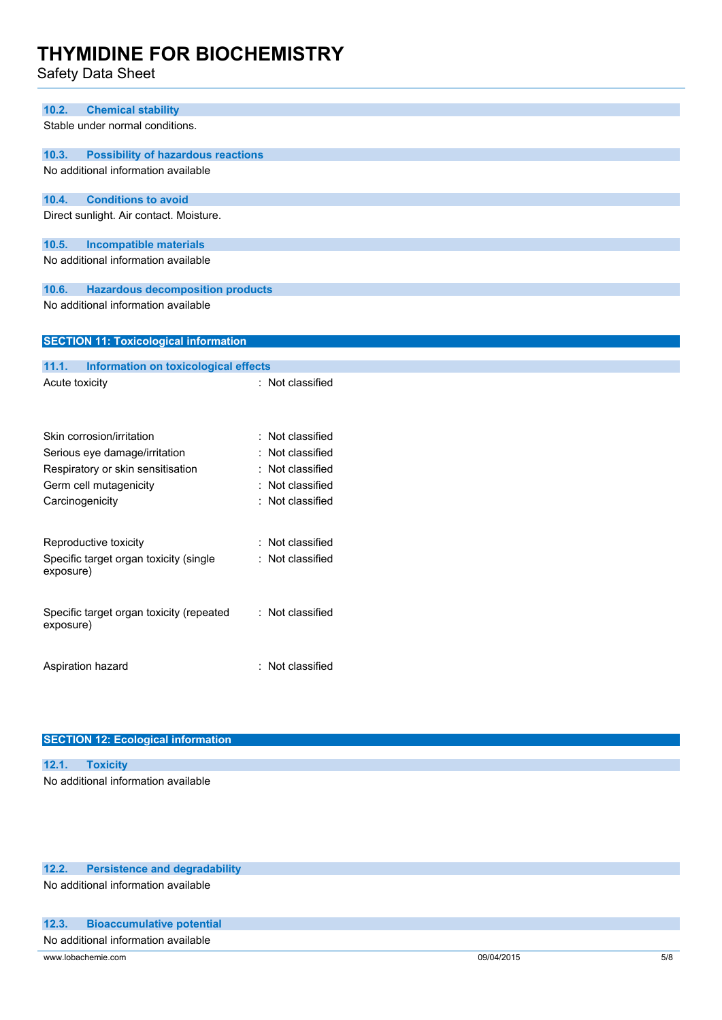Safety Data Sheet

| 10.2.<br><b>Chemical stability</b>                    |                  |
|-------------------------------------------------------|------------------|
| Stable under normal conditions.                       |                  |
| <b>Possibility of hazardous reactions</b><br>10.3.    |                  |
| No additional information available                   |                  |
| 10.4.<br><b>Conditions to avoid</b>                   |                  |
| Direct sunlight. Air contact. Moisture.               |                  |
| <b>Incompatible materials</b><br>10.5.                |                  |
| No additional information available                   |                  |
| <b>Hazardous decomposition products</b><br>10.6.      |                  |
| No additional information available                   |                  |
| <b>SECTION 11: Toxicological information</b>          |                  |
| 11.1.<br><b>Information on toxicological effects</b>  |                  |
| Acute toxicity                                        | : Not classified |
|                                                       |                  |
| Skin corrosion/irritation                             | : Not classified |
| Serious eye damage/irritation                         | : Not classified |
| Respiratory or skin sensitisation                     | : Not classified |
| Germ cell mutagenicity                                | Not classified   |
| Carcinogenicity                                       | Not classified   |
| Reproductive toxicity                                 | : Not classified |
| Specific target organ toxicity (single<br>exposure)   | : Not classified |
| Specific target organ toxicity (repeated<br>exposure) | : Not classified |
| Aspiration hazard                                     | : Not classified |
|                                                       |                  |

|  |  | <b>SECTION 12: Ecological information</b> |  |
|--|--|-------------------------------------------|--|
|--|--|-------------------------------------------|--|

| 12.1. |                                     |
|-------|-------------------------------------|
|       | No additional information available |

#### **12.2. Persistence and degradability**

No additional information available

### **12.3. Bioaccumulative potential**

No additional information available

www.lobachemie.com 5/8 com and the come of the comparative of the comparative of the comparative of the comparative of the comparative of the comparative of the comparative of the comparative of the comparative of the comp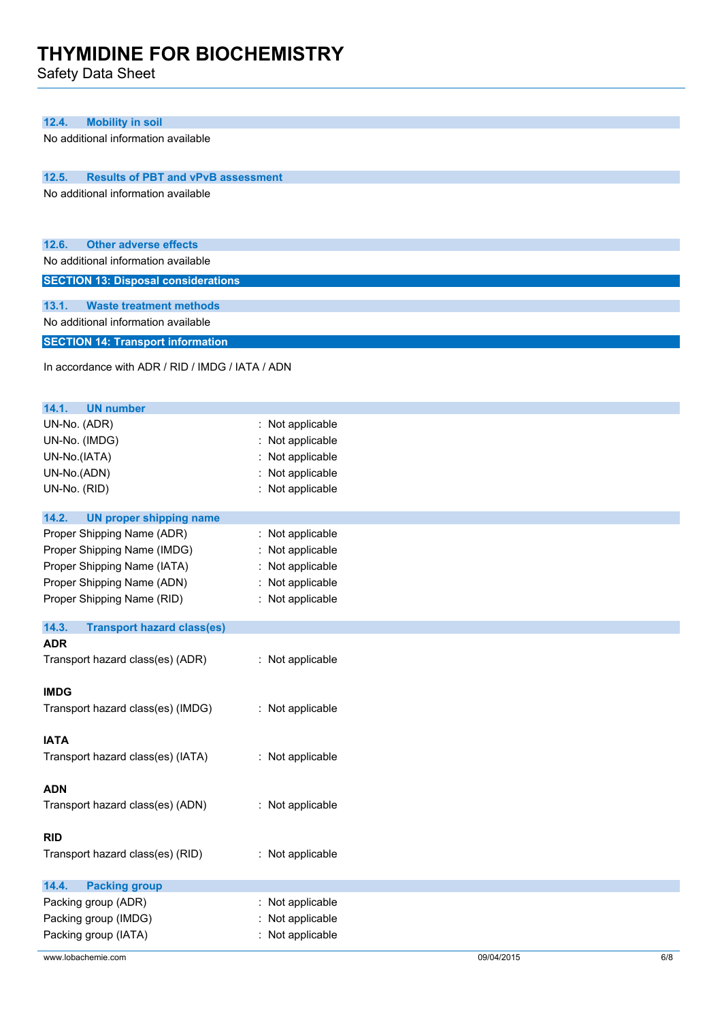Safety Data Sheet

| 12.4.<br><b>Mobility in soil</b><br>No additional information available      |                  |  |  |  |
|------------------------------------------------------------------------------|------------------|--|--|--|
|                                                                              |                  |  |  |  |
|                                                                              |                  |  |  |  |
| <b>Results of PBT and vPvB assessment</b><br>12.5.                           |                  |  |  |  |
| No additional information available                                          |                  |  |  |  |
|                                                                              |                  |  |  |  |
|                                                                              |                  |  |  |  |
| 12.6.<br><b>Other adverse effects</b><br>No additional information available |                  |  |  |  |
|                                                                              |                  |  |  |  |
| <b>SECTION 13: Disposal considerations</b>                                   |                  |  |  |  |
| 13.1.<br><b>Waste treatment methods</b>                                      |                  |  |  |  |
| No additional information available                                          |                  |  |  |  |
| <b>SECTION 14: Transport information</b>                                     |                  |  |  |  |
|                                                                              |                  |  |  |  |
| In accordance with ADR / RID / IMDG / IATA / ADN                             |                  |  |  |  |
|                                                                              |                  |  |  |  |
| 14.1.<br><b>UN number</b>                                                    |                  |  |  |  |
| UN-No. (ADR)                                                                 | : Not applicable |  |  |  |
| UN-No. (IMDG)                                                                | Not applicable   |  |  |  |
| UN-No.(IATA)                                                                 | Not applicable   |  |  |  |
| UN-No.(ADN)                                                                  | Not applicable   |  |  |  |
| UN-No. (RID)                                                                 | : Not applicable |  |  |  |
| 14.2.<br><b>UN proper shipping name</b>                                      |                  |  |  |  |
| Proper Shipping Name (ADR)                                                   | : Not applicable |  |  |  |
| Proper Shipping Name (IMDG)                                                  | Not applicable   |  |  |  |
| Proper Shipping Name (IATA)                                                  | Not applicable   |  |  |  |
| Proper Shipping Name (ADN)                                                   | Not applicable   |  |  |  |
| Proper Shipping Name (RID)                                                   | : Not applicable |  |  |  |
|                                                                              |                  |  |  |  |
| 14.3.<br><b>Transport hazard class(es)</b>                                   |                  |  |  |  |
| <b>ADR</b><br>Transport hazard class(es) (ADR)                               | : Not applicable |  |  |  |
|                                                                              |                  |  |  |  |
| <b>IMDG</b>                                                                  |                  |  |  |  |
| Transport hazard class(es) (IMDG)                                            | : Not applicable |  |  |  |
|                                                                              |                  |  |  |  |
| <b>IATA</b>                                                                  |                  |  |  |  |
| Transport hazard class(es) (IATA)                                            | : Not applicable |  |  |  |
|                                                                              |                  |  |  |  |
| <b>ADN</b>                                                                   |                  |  |  |  |
| Transport hazard class(es) (ADN)                                             | : Not applicable |  |  |  |
|                                                                              |                  |  |  |  |
| <b>RID</b>                                                                   |                  |  |  |  |
| Transport hazard class(es) (RID)                                             | : Not applicable |  |  |  |
| <b>Packing group</b><br>14.4.                                                |                  |  |  |  |
| Packing group (ADR)                                                          | : Not applicable |  |  |  |
| Packing group (IMDG)                                                         | : Not applicable |  |  |  |
| Packing group (IATA)                                                         | Not applicable   |  |  |  |
|                                                                              |                  |  |  |  |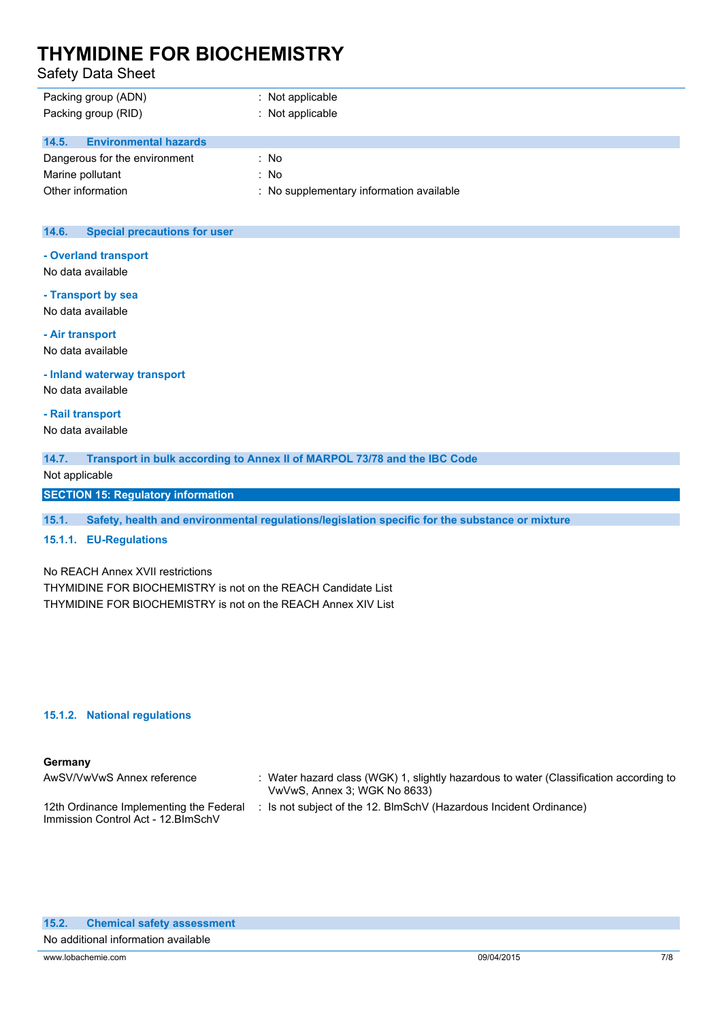Safety Data Sheet

| Packing group (ADN)<br>Packing group (RID) | $:$ Not applicable<br>: Not applicable   |
|--------------------------------------------|------------------------------------------|
| <b>Environmental hazards</b><br>14.5.      |                                          |
| Dangerous for the environment              | : No                                     |
| Marine pollutant                           | : No                                     |
| Other information                          | : No supplementary information available |

#### **14.6. Special precautions for user**

**- Overland transport**

No data available

**- Transport by sea** No data available

**- Air transport**

No data available

**- Inland waterway transport**

No data available

**- Rail transport**

No data available

**14.7. Transport in bulk according to Annex II of MARPOL 73/78 and the IBC Code**

Not applicable

**SECTION 15: Regulatory information**

**15.1. Safety, health and environmental regulations/legislation specific for the substance or mixture**

**15.1.1. EU-Regulations**

No REACH Annex XVII restrictions

THYMIDINE FOR BIOCHEMISTRY is not on the REACH Candidate List THYMIDINE FOR BIOCHEMISTRY is not on the REACH Annex XIV List

#### **15.1.2. National regulations**

#### **Germany**

| AwSV/VwVwS Annex reference                                                     | : Water hazard class (WGK) 1, slightly hazardous to water (Classification according to<br>VwVwS, Annex 3; WGK No 8633) |
|--------------------------------------------------------------------------------|------------------------------------------------------------------------------------------------------------------------|
| 12th Ordinance Implementing the Federal<br>Immission Control Act - 12. BlmSchV | : Is not subject of the 12. BlmSchV (Hazardous Incident Ordinance)                                                     |